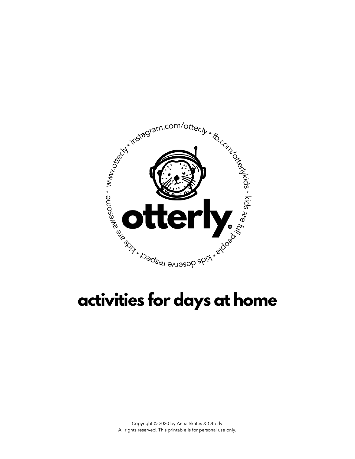

## **activities for days at home**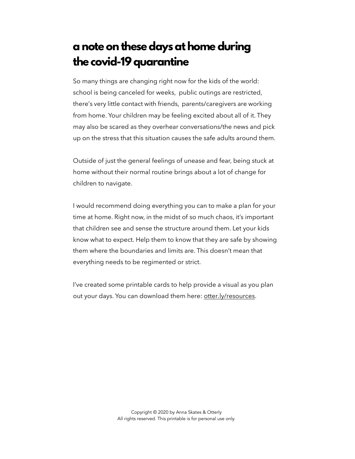## **a note on these days at home during the covid-19 quarantine**

So many things are changing right now for the kids of the world: school is being canceled for weeks, public outings are restricted, there's very little contact with friends, parents/caregivers are working from home. Your children may be feeling excited about all of it. They may also be scared as they overhear conversations/the news and pick up on the stress that this situation causes the safe adults around them.

Outside of just the general feelings of unease and fear, being stuck at home without their normal routine brings about a lot of change for children to navigate.

I would recommend doing everything you can to make a plan for your time at home. Right now, in the midst of so much chaos, it's important that children see and sense the structure around them. Let your kids know what to expect. Help them to know that they are safe by showing them where the boundaries and limits are. This doesn't mean that everything needs to be regimented or strict.

I've created some printable cards to help provide a visual as you plan out your days. You can download them here: [otter.ly/resources](https://otter.ly/resources).

> Copyright © 2020 by Anna Skates & Otterly All rights reserved. This printable is for personal use only.